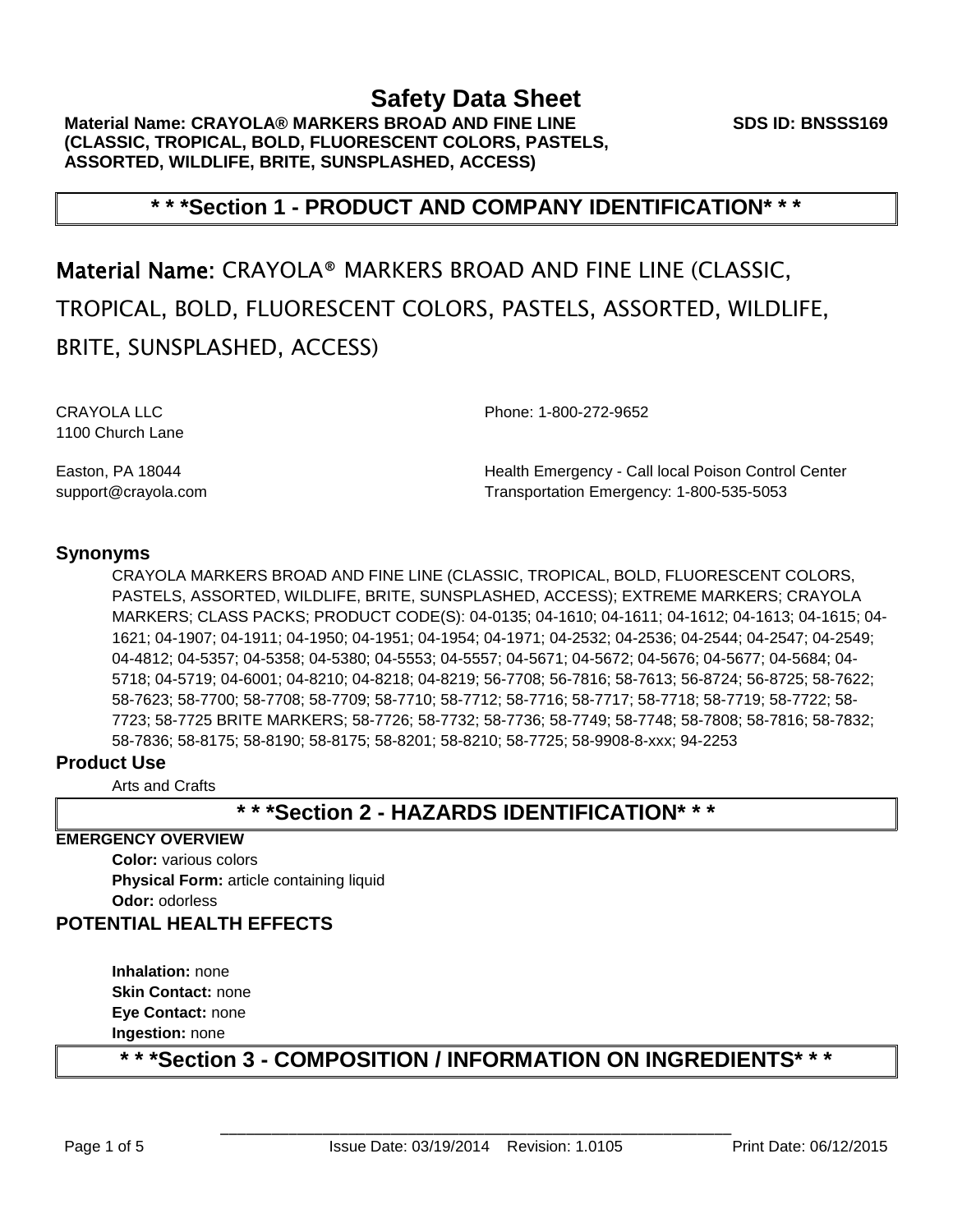**SDS ID: BNSSS169**

# **\* \* \*Section 1 - PRODUCT AND COMPANY IDENTIFICATION\* \* \***

Material Name: CRAYOLA® MARKERS BROAD AND FINE LINE (CLASSIC, TROPICAL, BOLD, FLUORESCENT COLORS, PASTELS, ASSORTED, WILDLIFE, BRITE, SUNSPLASHED, ACCESS)

1100 Church Lane

CRAYOLA LLC Phone: 1-800-272-9652

Easton, PA 18044 **Health Emergency - Call local Poison Control Center** support@crayola.com Transportation Emergency: 1-800-535-5053

# **Synonyms**

CRAYOLA MARKERS BROAD AND FINE LINE (CLASSIC, TROPICAL, BOLD, FLUORESCENT COLORS, PASTELS, ASSORTED, WILDLIFE, BRITE, SUNSPLASHED, ACCESS); EXTREME MARKERS; CRAYOLA MARKERS; CLASS PACKS; PRODUCT CODE(S): 04-0135; 04-1610; 04-1611; 04-1612; 04-1613; 04-1615; 04- 1621; 04-1907; 04-1911; 04-1950; 04-1951; 04-1954; 04-1971; 04-2532; 04-2536; 04-2544; 04-2547; 04-2549; 04-4812; 04-5357; 04-5358; 04-5380; 04-5553; 04-5557; 04-5671; 04-5672; 04-5676; 04-5677; 04-5684; 04- 5718; 04-5719; 04-6001; 04-8210; 04-8218; 04-8219; 56-7708; 56-7816; 58-7613; 56-8724; 56-8725; 58-7622; 58-7623; 58-7700; 58-7708; 58-7709; 58-7710; 58-7712; 58-7716; 58-7717; 58-7718; 58-7719; 58-7722; 58- 7723; 58-7725 BRITE MARKERS; 58-7726; 58-7732; 58-7736; 58-7749; 58-7748; 58-7808; 58-7816; 58-7832; 58-7836; 58-8175; 58-8190; 58-8175; 58-8201; 58-8210; 58-7725; 58-9908-8-xxx; 94-2253

# **Product Use**

Arts and Crafts

# **\* \* \*Section 2 - HAZARDS IDENTIFICATION\* \* \***

### **EMERGENCY OVERVIEW**

**Color:** various colors **Physical Form: article containing liquid Odor:** odorless

# **POTENTIAL HEALTH EFFECTS**

**Inhalation:** none **Skin Contact:** none **Eye Contact:** none **Ingestion:** none

**\* \* \*Section 3 - COMPOSITION / INFORMATION ON INGREDIENTS\* \* \***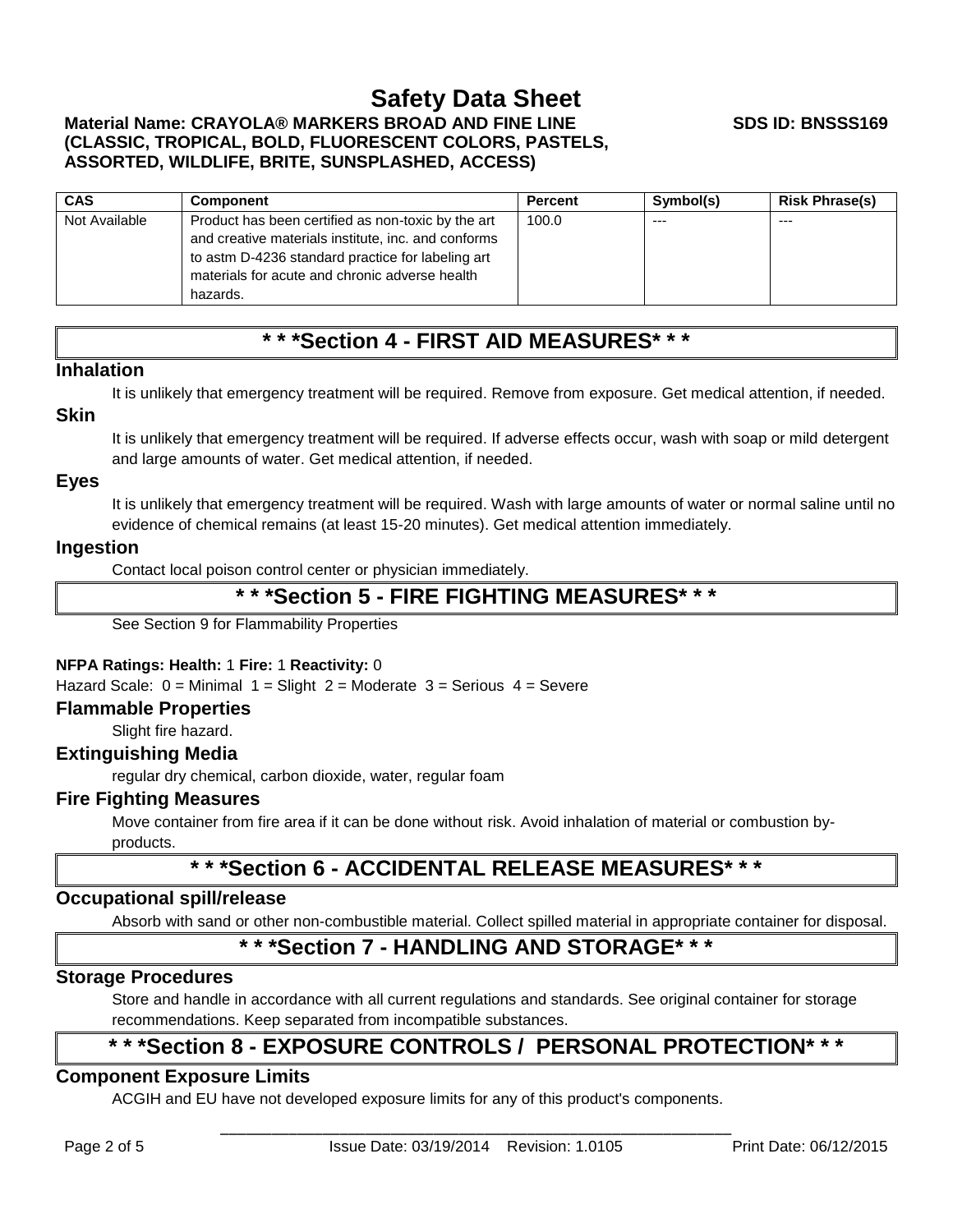# **Material Name: CRAYOLA® MARKERS BROAD AND FINE LINE (CLASSIC, TROPICAL, BOLD, FLUORESCENT COLORS, PASTELS, ASSORTED, WILDLIFE, BRITE, SUNSPLASHED, ACCESS)**

| <b>CAS</b>    | <b>Component</b>                                    | <b>Percent</b> | Symbol(s) | <b>Risk Phrase(s)</b> |
|---------------|-----------------------------------------------------|----------------|-----------|-----------------------|
| Not Available | Product has been certified as non-toxic by the art  | 100.0          | $--$      | $- - -$               |
|               | and creative materials institute, inc. and conforms |                |           |                       |
|               | to astm D-4236 standard practice for labeling art   |                |           |                       |
|               | materials for acute and chronic adverse health      |                |           |                       |
|               | hazards.                                            |                |           |                       |

# **\* \* \*Section 4 - FIRST AID MEASURES\* \* \***

# **Inhalation**

It is unlikely that emergency treatment will be required. Remove from exposure. Get medical attention, if needed.

#### **Skin**

It is unlikely that emergency treatment will be required. If adverse effects occur, wash with soap or mild detergent and large amounts of water. Get medical attention, if needed.

### **Eyes**

It is unlikely that emergency treatment will be required. Wash with large amounts of water or normal saline until no evidence of chemical remains (at least 15-20 minutes). Get medical attention immediately.

### **Ingestion**

Contact local poison control center or physician immediately.

# **\* \* \*Section 5 - FIRE FIGHTING MEASURES\* \* \***

See Section 9 for Flammability Properties

### **NFPA Ratings: Health:** 1 **Fire:** 1 **Reactivity:** 0

Hazard Scale:  $0 =$  Minimal  $1 =$  Slight  $2 =$  Moderate  $3 =$  Serious  $4 =$  Severe

#### **Flammable Properties**

Slight fire hazard.

### **Extinguishing Media**

regular dry chemical, carbon dioxide, water, regular foam

### **Fire Fighting Measures**

Move container from fire area if it can be done without risk. Avoid inhalation of material or combustion byproducts.

# **\* \* \*Section 6 - ACCIDENTAL RELEASE MEASURES\* \* \***

# **Occupational spill/release**

Absorb with sand or other non-combustible material. Collect spilled material in appropriate container for disposal.

# **\* \* \*Section 7 - HANDLING AND STORAGE\* \* \***

### **Storage Procedures**

Store and handle in accordance with all current regulations and standards. See original container for storage recommendations. Keep separated from incompatible substances.

# **\* \* \*Section 8 - EXPOSURE CONTROLS / PERSONAL PROTECTION\* \* \***

# **Component Exposure Limits**

ACGIH and EU have not developed exposure limits for any of this product's components.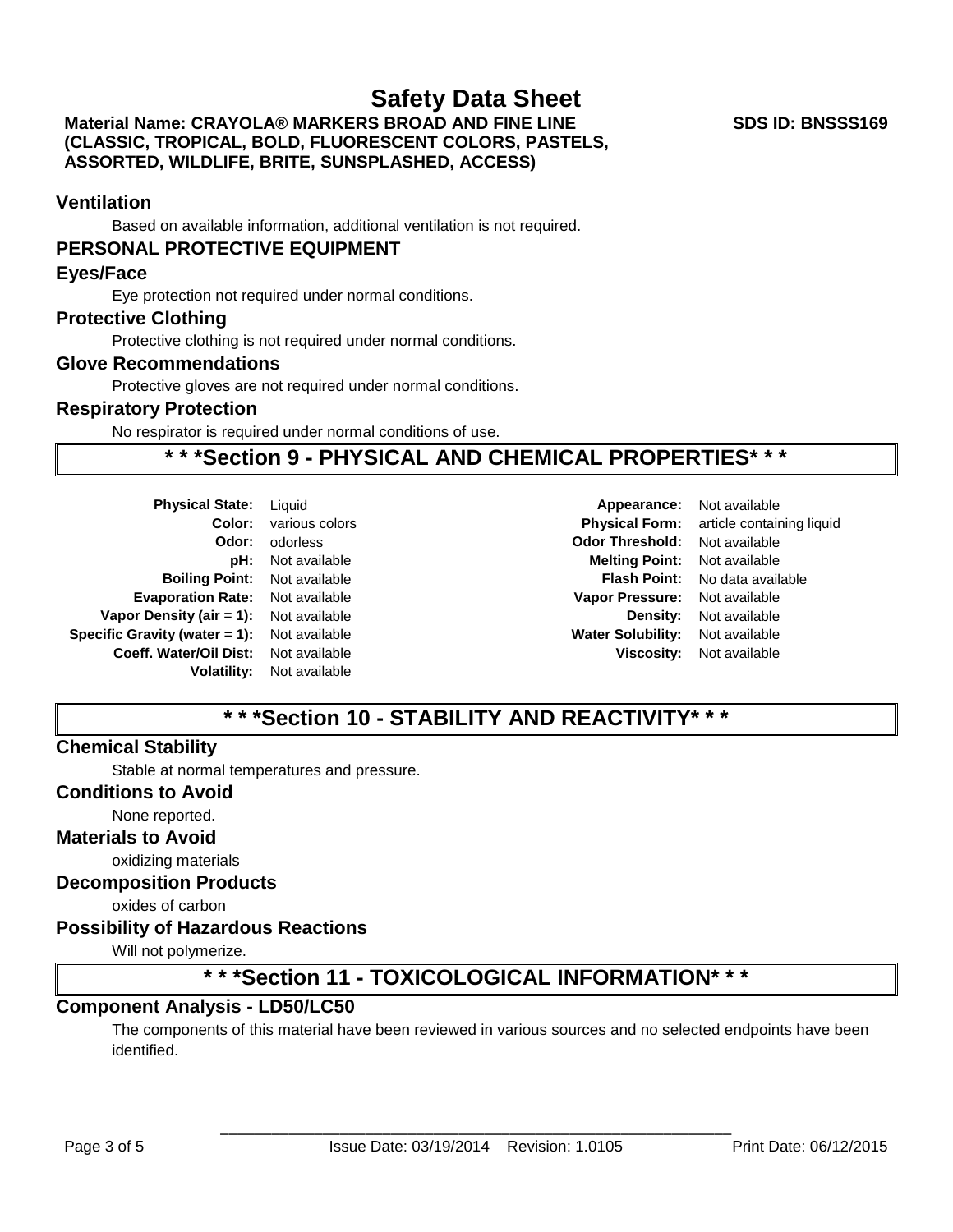## **Material Name: CRAYOLA® MARKERS BROAD AND FINE LINE (CLASSIC, TROPICAL, BOLD, FLUORESCENT COLORS, PASTELS, ASSORTED, WILDLIFE, BRITE, SUNSPLASHED, ACCESS)**

#### **SDS ID: BNSSS169**

# **Ventilation**

Based on available information, additional ventilation is not required.

### **PERSONAL PROTECTIVE EQUIPMENT**

#### **Eyes/Face**

Eye protection not required under normal conditions.

#### **Protective Clothing**

Protective clothing is not required under normal conditions.

### **Glove Recommendations**

Protective gloves are not required under normal conditions.

#### **Respiratory Protection**

No respirator is required under normal conditions of use.

# **\* \* \*Section 9 - PHYSICAL AND CHEMICAL PROPERTIES\* \* \***

| <b>Physical State:</b>           | Liquid         |  |
|----------------------------------|----------------|--|
| Color:                           | various colors |  |
| Odor:                            | odorless       |  |
| pH:                              | Not available  |  |
| <b>Boiling Point:</b>            | Not available  |  |
| <b>Evaporation Rate:</b>         | Not available  |  |
| Vapor Density (air $= 1$ ):      | Not available  |  |
| Specific Gravity (water $= 1$ ): | Not available  |  |
| Coeff. Water/Oil Dist:           | Not available  |  |
| Volatility:                      | Not available  |  |
|                                  |                |  |

**Appearance:** Not available **Coloring Color: Coloring Coloring Physical Form:** article containing liquid **Odor Threshold:** Not available **Melting Point:** Not available **Flash Point:** No data available **Vapor Pressure:** Not available **Density:** Not available **Water Solubility:** Not available **Viscosity:** Not available

# **\* \* \*Section 10 - STABILITY AND REACTIVITY\* \* \***

# **Chemical Stability**

Stable at normal temperatures and pressure.

## **Conditions to Avoid**

#### None reported.

#### **Materials to Avoid**

oxidizing materials

#### **Decomposition Products**

oxides of carbon

### **Possibility of Hazardous Reactions**

Will not polymerize.

# **\* \* \*Section 11 - TOXICOLOGICAL INFORMATION\* \* \***

### **Component Analysis - LD50/LC50**

The components of this material have been reviewed in various sources and no selected endpoints have been identified.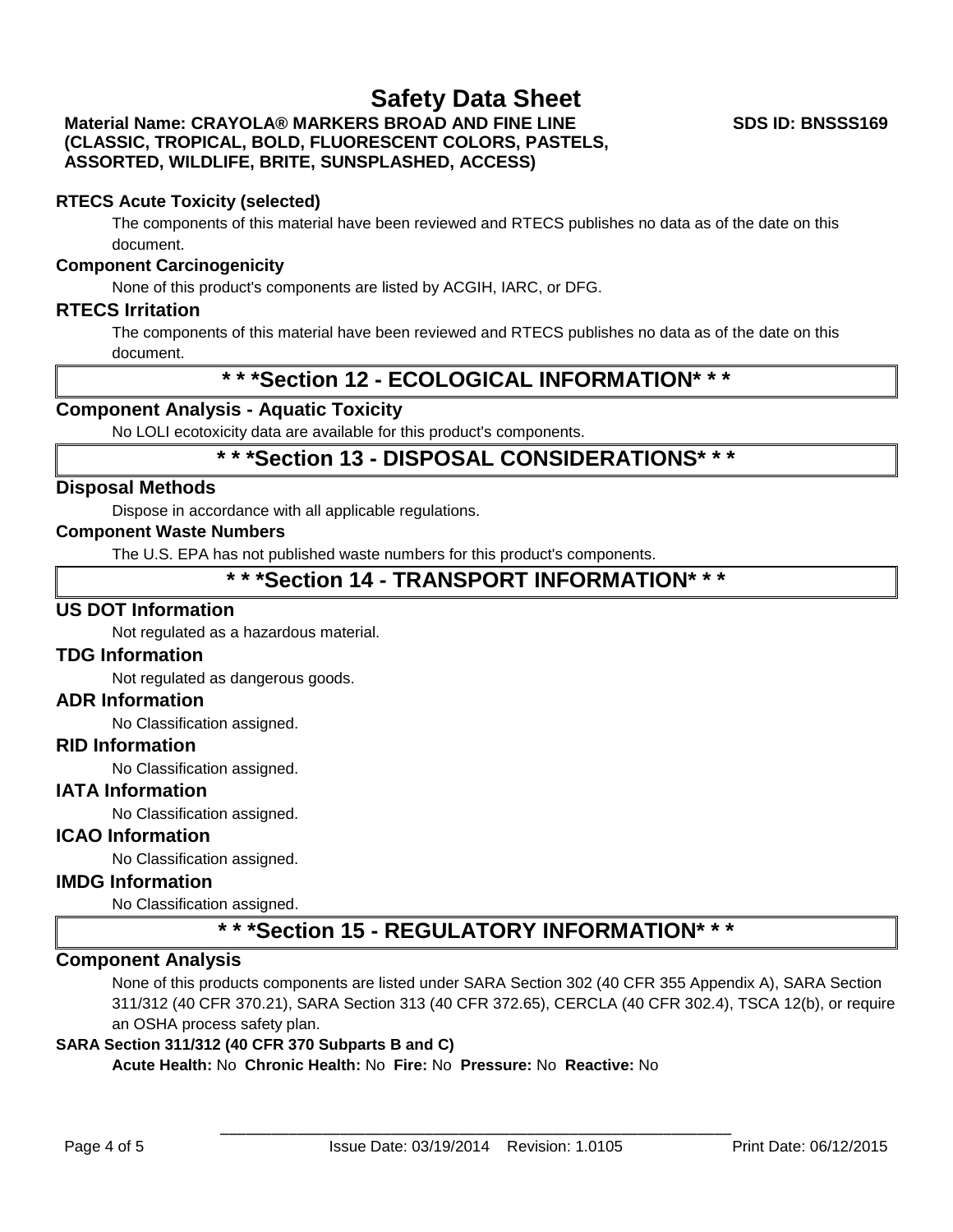# **Material Name: CRAYOLA® MARKERS BROAD AND FINE LINE (CLASSIC, TROPICAL, BOLD, FLUORESCENT COLORS, PASTELS, ASSORTED, WILDLIFE, BRITE, SUNSPLASHED, ACCESS)**

# **RTECS Acute Toxicity (selected)**

The components of this material have been reviewed and RTECS publishes no data as of the date on this document.

# **Component Carcinogenicity**

None of this product's components are listed by ACGIH, IARC, or DFG.

# **RTECS Irritation**

The components of this material have been reviewed and RTECS publishes no data as of the date on this document.

# **\* \* \*Section 12 - ECOLOGICAL INFORMATION\* \* \***

# **Component Analysis - Aquatic Toxicity**

No LOLI ecotoxicity data are available for this product's components.

# **\* \* \*Section 13 - DISPOSAL CONSIDERATIONS\* \* \***

# **Disposal Methods**

Dispose in accordance with all applicable regulations.

# **Component Waste Numbers**

The U.S. EPA has not published waste numbers for this product's components.

# **\* \* \*Section 14 - TRANSPORT INFORMATION\* \* \***

# **US DOT Information**

Not regulated as a hazardous material.

### **TDG Information**

Not regulated as dangerous goods.

### **ADR Information**

No Classification assigned.

### **RID Information**

No Classification assigned.

# **IATA Information**

No Classification assigned.

# **ICAO Information**

No Classification assigned.

# **IMDG Information**

No Classification assigned.

# **\* \* \*Section 15 - REGULATORY INFORMATION\* \* \***

# **Component Analysis**

None of this products components are listed under SARA Section 302 (40 CFR 355 Appendix A), SARA Section 311/312 (40 CFR 370.21), SARA Section 313 (40 CFR 372.65), CERCLA (40 CFR 302.4), TSCA 12(b), or require an OSHA process safety plan.

# **SARA Section 311/312 (40 CFR 370 Subparts B and C)**

**Acute Health:** No **Chronic Health:** No **Fire:** No **Pressure:** No **Reactive:** No